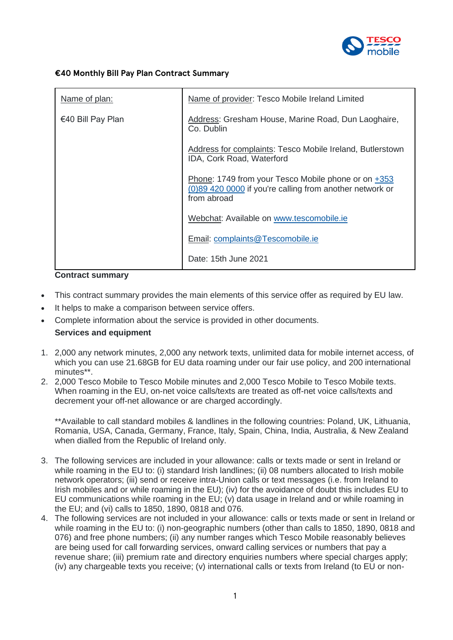

## **€40 Monthly Bill Pay Plan Contract Summary**

| Name of plan:     | Name of provider: Tesco Mobile Ireland Limited                                                                                 |
|-------------------|--------------------------------------------------------------------------------------------------------------------------------|
| €40 Bill Pay Plan | Address: Gresham House, Marine Road, Dun Laoghaire,<br>Co. Dublin                                                              |
|                   | Address for complaints: Tesco Mobile Ireland, Butlerstown<br>IDA, Cork Road, Waterford                                         |
|                   | Phone: 1749 from your Tesco Mobile phone or on +353<br>(0)89 420 0000 if you're calling from another network or<br>from abroad |
|                   | Webchat: Available on www.tescomobile.ie                                                                                       |
|                   | Email: complaints@Tescomobile.ie                                                                                               |
|                   | Date: 15th June 2021                                                                                                           |

#### **Contract summary**

- This contract summary provides the main elements of this service offer as required by EU law.
- It helps to make a comparison between service offers.
- Complete information about the service is provided in other documents.

# **Services and equipment**

- 1. 2,000 any network minutes, 2,000 any network texts, unlimited data for mobile internet access, of which you can use 21.68GB for EU data roaming under our fair use policy, and 200 international minutes\*\*.
- 2. 2,000 Tesco Mobile to Tesco Mobile minutes and 2,000 Tesco Mobile to Tesco Mobile texts. When roaming in the EU, on-net voice calls/texts are treated as off-net voice calls/texts and decrement your off-net allowance or are charged accordingly.

\*\*Available to call standard mobiles & landlines in the following countries: Poland, UK, Lithuania, Romania, USA, Canada, Germany, France, Italy, Spain, China, India, Australia, & New Zealand when dialled from the Republic of Ireland only.

- 3. The following services are included in your allowance: calls or texts made or sent in Ireland or while roaming in the EU to: (i) standard Irish landlines; (ii) 08 numbers allocated to Irish mobile network operators; (iii) send or receive intra-Union calls or text messages (i.e. from Ireland to Irish mobiles and or while roaming in the EU); (iv) for the avoidance of doubt this includes EU to EU communications while roaming in the EU; (v) data usage in Ireland and or while roaming in the EU; and (vi) calls to 1850, 1890, 0818 and 076.
- 4. The following services are not included in your allowance: calls or texts made or sent in Ireland or while roaming in the EU to: (i) non-geographic numbers (other than calls to 1850, 1890, 0818 and 076) and free phone numbers; (ii) any number ranges which Tesco Mobile reasonably believes are being used for call forwarding services, onward calling services or numbers that pay a revenue share; (iii) premium rate and directory enquiries numbers where special charges apply; (iv) any chargeable texts you receive; (v) international calls or texts from Ireland (to EU or non-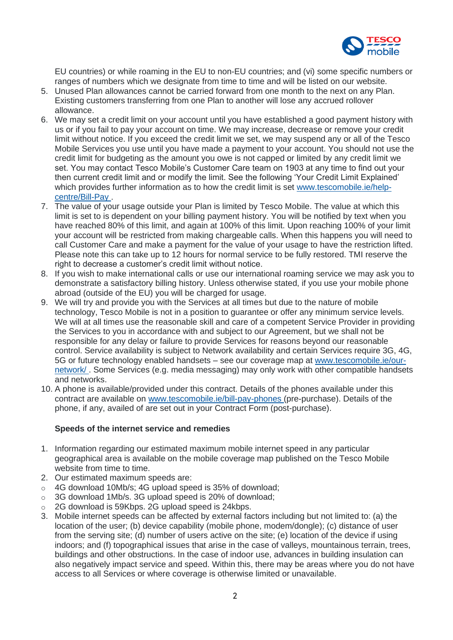

EU countries) or while roaming in the EU to non-EU countries; and (vi) some specific numbers or ranges of numbers which we designate from time to time and will be listed on our website.

- 5. Unused Plan allowances cannot be carried forward from one month to the next on any Plan. Existing customers transferring from one Plan to another will lose any accrued rollover allowance.
- 6. We may set a credit limit on your account until you have established a good payment history with us or if you fail to pay your account on time. We may increase, decrease or remove your credit limit without notice. If you exceed the credit limit we set, we may suspend any or all of the Tesco Mobile Services you use until you have made a payment to your account. You should not use the credit limit for budgeting as the amount you owe is not capped or limited by any credit limit we set. You may contact Tesco Mobile's Customer Care team on 1903 at any time to find out your then current credit limit and or modify the limit. See the following 'Your Credit Limit Explained' which provides further information as to how the credit limit is set [www.tescomobile.ie/help](https://www.tescomobile.ie/help-centre/Bill-Pay)[centre/Bill-Pay](https://www.tescomobile.ie/help-centre/Bill-Pay) .
- 7. The value of your usage outside your Plan is limited by Tesco Mobile. The value at which this limit is set to is dependent on your billing payment history. You will be notified by text when you have reached 80% of this limit, and again at 100% of this limit. Upon reaching 100% of your limit your account will be restricted from making chargeable calls. When this happens you will need to call Customer Care and make a payment for the value of your usage to have the restriction lifted. Please note this can take up to 12 hours for normal service to be fully restored. TMI reserve the right to decrease a customer's credit limit without notice.
- 8. If you wish to make international calls or use our international roaming service we may ask you to demonstrate a satisfactory billing history. Unless otherwise stated, if you use your mobile phone abroad (outside of the EU) you will be charged for usage.
- 9. We will try and provide you with the Services at all times but due to the nature of mobile technology, Tesco Mobile is not in a position to guarantee or offer any minimum service levels. We will at all times use the reasonable skill and care of a competent Service Provider in providing the Services to you in accordance with and subject to our Agreement, but we shall not be responsible for any delay or failure to provide Services for reasons beyond our reasonable control. Service availability is subject to Network availability and certain Services require 3G, 4G, 5G or future technology enabled handsets – see our coverage map at [www.tescomobile.ie/our](https://www.tescomobile.ie/our-network/)[network/](https://www.tescomobile.ie/our-network/) . Some Services (e.g. media messaging) may only work with other compatible handsets and networks.
- 10. A phone is available/provided under this contract. Details of the phones available under this contract are available on [www.tescomobile.ie/bill-pay-phones](https://www.tescomobile.ie/bill-pay-phones) (pre-purchase). Details of the phone, if any, availed of are set out in your Contract Form (post-purchase).

## **Speeds of the internet service and remedies**

- 1. Information regarding our estimated maximum mobile internet speed in any particular geographical area is available on the mobile coverage map published on the Tesco Mobile website from time to time.
- 2. Our estimated maximum speeds are:
- o 4G download 10Mb/s; 4G upload speed is 35% of download;
- o 3G download 1Mb/s. 3G upload speed is 20% of download;
- o 2G download is 59Kbps. 2G upload speed is 24kbps.
- 3. Mobile internet speeds can be affected by external factors including but not limited to: (a) the location of the user; (b) device capability (mobile phone, modem/dongle); (c) distance of user from the serving site; (d) number of users active on the site; (e) location of the device if using indoors; and (f) topographical issues that arise in the case of valleys, mountainous terrain, trees, buildings and other obstructions. In the case of indoor use, advances in building insulation can also negatively impact service and speed. Within this, there may be areas where you do not have access to all Services or where coverage is otherwise limited or unavailable.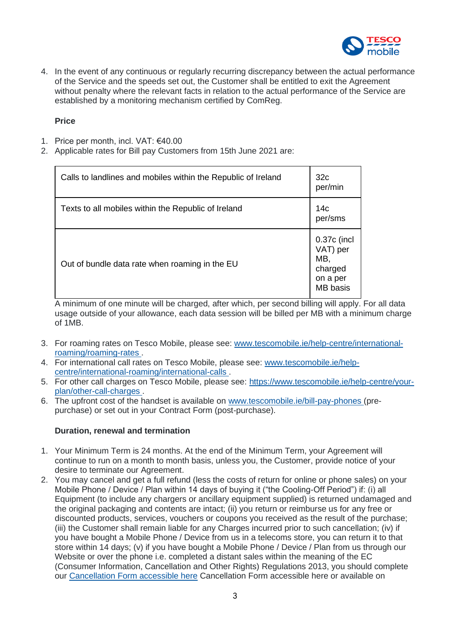

4. In the event of any continuous or regularly recurring discrepancy between the actual performance of the Service and the speeds set out, the Customer shall be entitled to exit the Agreement without penalty where the relevant facts in relation to the actual performance of the Service are established by a monitoring mechanism certified by ComReg.

## **Price**

- 1. Price per month, incl. VAT: €40.00
- 2. Applicable rates for Bill pay Customers from 15th June 2021 are:

| Calls to landlines and mobiles within the Republic of Ireland | 32 <sub>c</sub><br>per/min                                        |
|---------------------------------------------------------------|-------------------------------------------------------------------|
| Texts to all mobiles within the Republic of Ireland           | 14 <sub>c</sub><br>per/sms                                        |
| Out of bundle data rate when roaming in the EU                | 0.37c (incl<br>VAT) per<br>MB,<br>charged<br>on a per<br>MB basis |

A minimum of one minute will be charged, after which, per second billing will apply. For all data usage outside of your allowance, each data session will be billed per MB with a minimum charge of 1MB.

- 3. For roaming rates on Tesco Mobile, please see: [www.tescomobile.ie/help-centre/international](https://www.tescomobile.ie/help-centre/international-roaming/roaming-rates)[roaming/roaming-rates](https://www.tescomobile.ie/help-centre/international-roaming/roaming-rates) .
- 4. For international call rates on Tesco Mobile, please see: [www.tescomobile.ie/help](https://www.tescomobile.ie/help-centre/international-roaming/international-calls)[centre/international-roaming/international-calls](https://www.tescomobile.ie/help-centre/international-roaming/international-calls) .
- 5. For other call charges on Tesco Mobile, please see: [https://www.tescomobile.ie/help-centre/your](https://www.tescomobile.ie/help-centre/your-plan/other-call-charges)[plan/other-call-charges](https://www.tescomobile.ie/help-centre/your-plan/other-call-charges) .
- 6. The upfront cost of the handset is available on [www.tescomobile.ie/bill-pay-phones](https://www.tescomobile.ie/bill-pay-phones) (prepurchase) or set out in your Contract Form (post-purchase).

## **Duration, renewal and termination**

- 1. Your Minimum Term is 24 months. At the end of the Minimum Term, your Agreement will continue to run on a month to month basis, unless you, the Customer, provide notice of your desire to terminate our Agreement.
- 2. You may cancel and get a full refund (less the costs of return for online or phone sales) on your Mobile Phone / Device / Plan within 14 days of buying it ("the Cooling-Off Period") if: (i) all Equipment (to include any chargers or ancillary equipment supplied) is returned undamaged and the original packaging and contents are intact; (ii) you return or reimburse us for any free or discounted products, services, vouchers or coupons you received as the result of the purchase; (iii) the Customer shall remain liable for any Charges incurred prior to such cancellation; (iv) if you have bought a Mobile Phone / Device from us in a telecoms store, you can return it to that store within 14 days; (v) if you have bought a Mobile Phone / Device / Plan from us through our Website or over the phone i.e. completed a distant sales within the meaning of the EC (Consumer Information, Cancellation and Other Rights) Regulations 2013, you should complete our [Cancellation Form accessible here](https://www.tescomobile.ie/about-us/terms/TMI_Cancellation_Form.pdf) Cancellation Form accessible here or available on